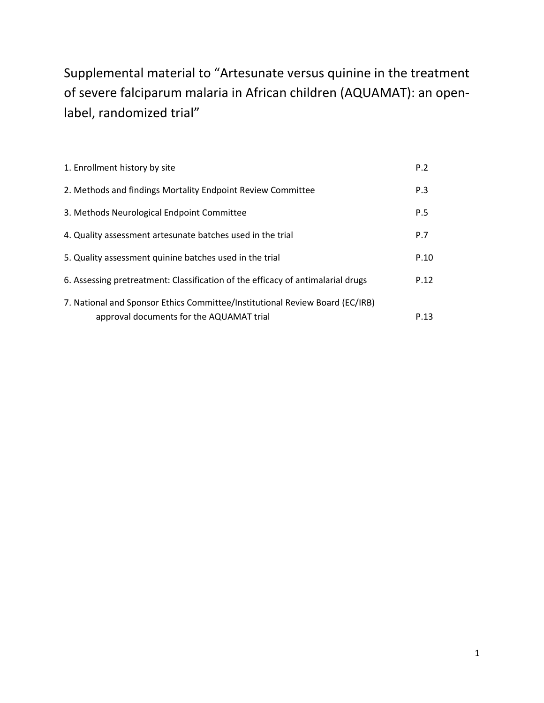Supplemental material to "Artesunate versus quinine in the treatment of severe falciparum malaria in African children (AQUAMAT): an openlabel, randomized trial"

| 1. Enrollment history by site                                                                                            | P.2  |
|--------------------------------------------------------------------------------------------------------------------------|------|
| 2. Methods and findings Mortality Endpoint Review Committee                                                              | P.3  |
| 3. Methods Neurological Endpoint Committee                                                                               | P.5  |
| 4. Quality assessment artesunate batches used in the trial                                                               | P.7  |
| 5. Quality assessment quinine batches used in the trial                                                                  | P.10 |
| 6. Assessing pretreatment: Classification of the efficacy of antimalarial drugs                                          | P.12 |
| 7. National and Sponsor Ethics Committee/Institutional Review Board (EC/IRB)<br>approval documents for the AQUAMAT trial | P.13 |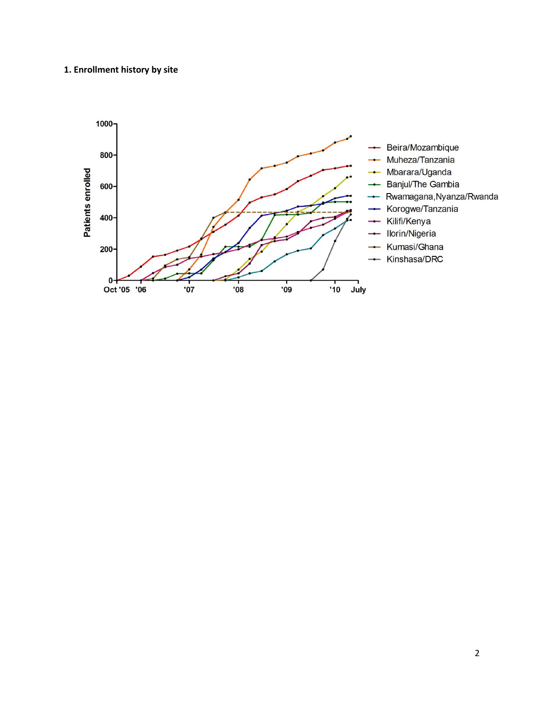# **1. Enrollment history by site**

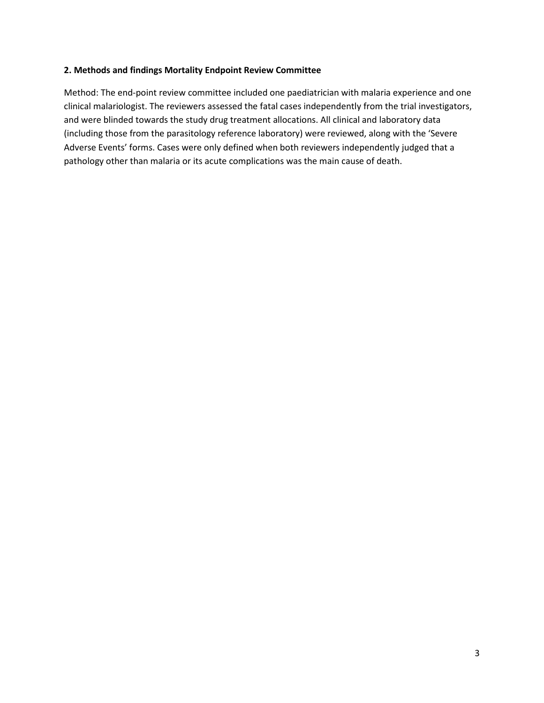#### **2. Methods and findings Mortality Endpoint Review Committee**

Method: The end-point review committee included one paediatrician with malaria experience and one clinical malariologist. The reviewers assessed the fatal cases independently from the trial investigators, and were blinded towards the study drug treatment allocations. All clinical and laboratory data (including those from the parasitology reference laboratory) were reviewed, along with the 'Severe Adverse Events' forms. Cases were only defined when both reviewers independently judged that a pathology other than malaria or its acute complications was the main cause of death.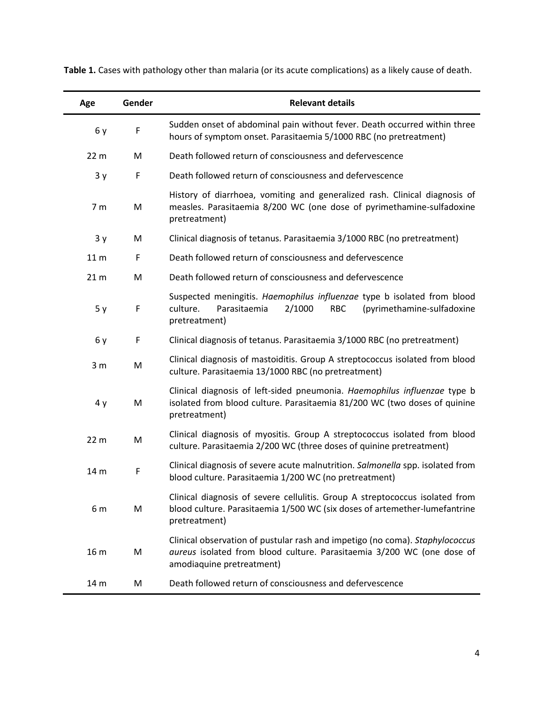| Age             | Gender      | <b>Relevant details</b>                                                                                                                                                             |
|-----------------|-------------|-------------------------------------------------------------------------------------------------------------------------------------------------------------------------------------|
| 6y              | F           | Sudden onset of abdominal pain without fever. Death occurred within three<br>hours of symptom onset. Parasitaemia 5/1000 RBC (no pretreatment)                                      |
| 22 <sub>m</sub> | M           | Death followed return of consciousness and defervescence                                                                                                                            |
| 3y              | $\mathsf F$ | Death followed return of consciousness and defervescence                                                                                                                            |
| 7 <sub>m</sub>  | M           | History of diarrhoea, vomiting and generalized rash. Clinical diagnosis of<br>measles. Parasitaemia 8/200 WC (one dose of pyrimethamine-sulfadoxine<br>pretreatment)                |
| 3y              | M           | Clinical diagnosis of tetanus. Parasitaemia 3/1000 RBC (no pretreatment)                                                                                                            |
| 11 <sub>m</sub> | F           | Death followed return of consciousness and defervescence                                                                                                                            |
| 21 <sub>m</sub> | M           | Death followed return of consciousness and defervescence                                                                                                                            |
| 5y              | F           | Suspected meningitis. Haemophilus influenzae type b isolated from blood<br>culture.<br>Parasitaemia<br>2/1000<br>(pyrimethamine-sulfadoxine<br><b>RBC</b><br>pretreatment)          |
| 6 y             | F           | Clinical diagnosis of tetanus. Parasitaemia 3/1000 RBC (no pretreatment)                                                                                                            |
| 3 <sub>m</sub>  | M           | Clinical diagnosis of mastoiditis. Group A streptococcus isolated from blood<br>culture. Parasitaemia 13/1000 RBC (no pretreatment)                                                 |
| 4y              | M           | Clinical diagnosis of left-sided pneumonia. Haemophilus influenzae type b<br>isolated from blood culture. Parasitaemia 81/200 WC (two doses of quinine<br>pretreatment)             |
| 22 <sub>m</sub> | M           | Clinical diagnosis of myositis. Group A streptococcus isolated from blood<br>culture. Parasitaemia 2/200 WC (three doses of quinine pretreatment)                                   |
| 14 m            | F           | Clinical diagnosis of severe acute malnutrition. Salmonella spp. isolated from<br>blood culture. Parasitaemia 1/200 WC (no pretreatment)                                            |
| 6 m             | M           | Clinical diagnosis of severe cellulitis. Group A streptococcus isolated from<br>blood culture. Parasitaemia 1/500 WC (six doses of artemether-lumefantrine<br>pretreatment)         |
| 16 m            | M           | Clinical observation of pustular rash and impetigo (no coma). Staphylococcus<br>aureus isolated from blood culture. Parasitaemia 3/200 WC (one dose of<br>amodiaquine pretreatment) |
| 14 m            | M           | Death followed return of consciousness and defervescence                                                                                                                            |

**Table 1.** Cases with pathology other than malaria (or its acute complications) as a likely cause of death.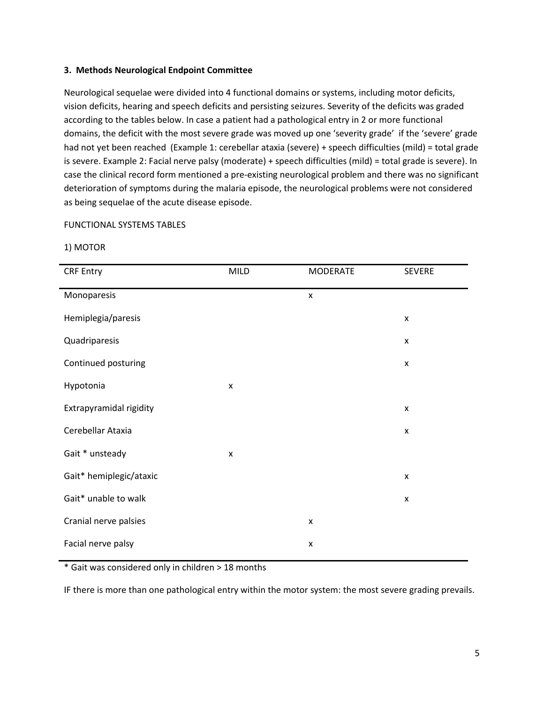#### **3. Methods Neurological Endpoint Committee**

Neurological sequelae were divided into 4 functional domains or systems, including motor deficits, vision deficits, hearing and speech deficits and persisting seizures. Severity of the deficits was graded according to the tables below. In case a patient had a pathological entry in 2 or more functional domains, the deficit with the most severe grade was moved up one 'severity grade' if the 'severe' grade had not yet been reached (Example 1: cerebellar ataxia (severe) + speech difficulties (mild) = total grade is severe. Example 2: Facial nerve palsy (moderate) + speech difficulties (mild) = total grade is severe). In case the clinical record form mentioned a pre-existing neurological problem and there was no significant deterioration of symptoms during the malaria episode, the neurological problems were not considered as being sequelae of the acute disease episode.

#### FUNCTIONAL SYSTEMS TABLES

#### 1) MOTOR

| <b>CRF Entry</b>        | MILD | <b>MODERATE</b> | <b>SEVERE</b>      |
|-------------------------|------|-----------------|--------------------|
| Monoparesis             |      | X               |                    |
| Hemiplegia/paresis      |      |                 | X                  |
| Quadriparesis           |      |                 | X                  |
| Continued posturing     |      |                 | $\pmb{\mathsf{x}}$ |
| Hypotonia               | X    |                 |                    |
| Extrapyramidal rigidity |      |                 | X                  |
| Cerebellar Ataxia       |      |                 | $\pmb{\mathsf{x}}$ |
| Gait * unsteady         | X    |                 |                    |
| Gait* hemiplegic/ataxic |      |                 | $\pmb{\mathsf{x}}$ |
| Gait* unable to walk    |      |                 | X                  |
| Cranial nerve palsies   |      | X               |                    |
| Facial nerve palsy      |      | X               |                    |

\* Gait was considered only in children > 18 months

IF there is more than one pathological entry within the motor system: the most severe grading prevails.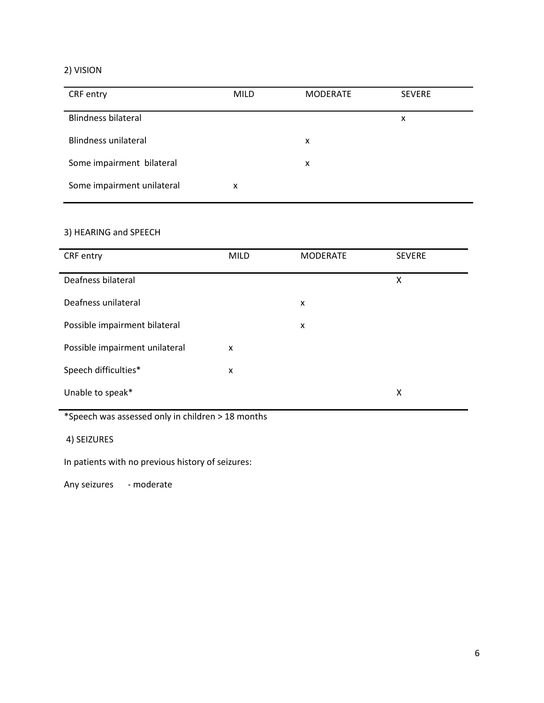# 2) VISION

| CRF entry                  | <b>MILD</b> | <b>MODERATE</b> | <b>SEVERE</b> |
|----------------------------|-------------|-----------------|---------------|
| <b>Blindness bilateral</b> |             |                 | x             |
| Blindness unilateral       |             | x               |               |
| Some impairment bilateral  |             | x               |               |
| Some impairment unilateral | x           |                 |               |

# 3) HEARING and SPEECH

| CRF entry                      | <b>MILD</b> | <b>MODERATE</b> | <b>SEVERE</b> |
|--------------------------------|-------------|-----------------|---------------|
| Deafness bilateral             |             |                 | x             |
| Deafness unilateral            |             | X               |               |
| Possible impairment bilateral  |             | x               |               |
| Possible impairment unilateral | X           |                 |               |
| Speech difficulties*           | X           |                 |               |
| Unable to speak*               |             |                 | x             |

\*Speech was assessed only in children > 18 months

4) SEIZURES

In patients with no previous history of seizures:

Any seizures - moderate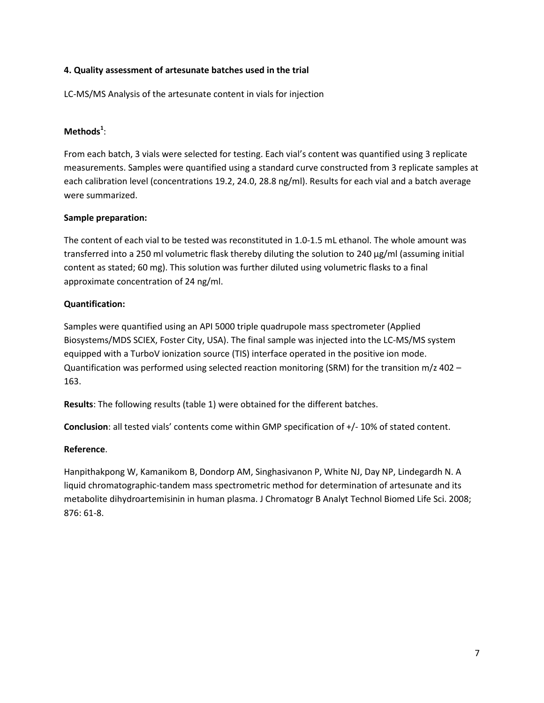## **4. Quality assessment of artesunate batches used in the trial**

LC-MS/MS Analysis of the artesunate content in vials for injection

# **Methods<sup>1</sup>** :

From each batch, 3 vials were selected for testing. Each vial's content was quantified using 3 replicate measurements. Samples were quantified using a standard curve constructed from 3 replicate samples at each calibration level (concentrations 19.2, 24.0, 28.8 ng/ml). Results for each vial and a batch average were summarized.

# **Sample preparation:**

The content of each vial to be tested was reconstituted in 1.0-1.5 mL ethanol. The whole amount was transferred into a 250 ml volumetric flask thereby diluting the solution to 240 µg/ml (assuming initial content as stated; 60 mg). This solution was further diluted using volumetric flasks to a final approximate concentration of 24 ng/ml.

## **Quantification:**

Samples were quantified using an API 5000 triple quadrupole mass spectrometer (Applied Biosystems/MDS SCIEX, Foster City, USA). The final sample was injected into the LC-MS/MS system equipped with a TurboV ionization source (TIS) interface operated in the positive ion mode. Quantification was performed using selected reaction monitoring (SRM) for the transition m/z 402 – 163.

**Results**: The following results (table 1) were obtained for the different batches.

**Conclusion**: all tested vials' contents come within GMP specification of +/- 10% of stated content.

# **Reference**.

Hanpithakpong W, Kamanikom B, Dondorp AM, Singhasivanon P, White NJ, Day NP, Lindegardh N. A liquid chromatographic-tandem mass spectrometric method for determination of artesunate and its metabolite dihydroartemisinin in human plasma. J Chromatogr B Analyt Technol Biomed Life Sci. 2008; 876: 61-8.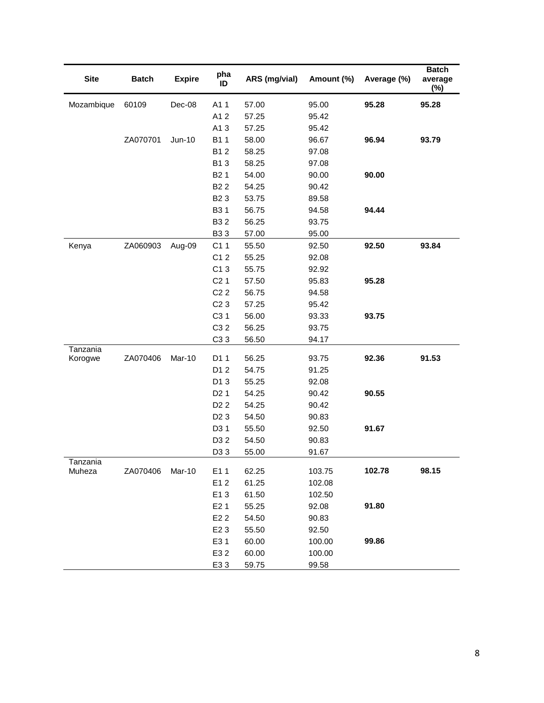| <b>Site</b>        | <b>Batch</b> | <b>Expire</b> | pha<br>ID         | ARS (mg/vial) | Amount (%) | Average (%) | <b>Batch</b><br>average<br>$(\%)$ |
|--------------------|--------------|---------------|-------------------|---------------|------------|-------------|-----------------------------------|
| Mozambique         | 60109        | Dec-08        | A11               | 57.00         | 95.00      | 95.28       | 95.28                             |
|                    |              |               | A12               | 57.25         | 95.42      |             |                                   |
|                    |              |               | A13               | 57.25         | 95.42      |             |                                   |
|                    | ZA070701     | <b>Jun-10</b> | B11               | 58.00         | 96.67      | 96.94       | 93.79                             |
|                    |              |               | B12               | 58.25         | 97.08      |             |                                   |
|                    |              |               | B13               | 58.25         | 97.08      |             |                                   |
|                    |              |               | B <sub>2</sub> 1  | 54.00         | 90.00      | 90.00       |                                   |
|                    |              |               | B <sub>2</sub> 2  | 54.25         | 90.42      |             |                                   |
|                    |              |               | B <sub>2</sub> 3  | 53.75         | 89.58      |             |                                   |
|                    |              |               | <b>B31</b>        | 56.75         | 94.58      | 94.44       |                                   |
|                    |              |               | B32               | 56.25         | 93.75      |             |                                   |
|                    |              |               | <b>B33</b>        | 57.00         | 95.00      |             |                                   |
| Kenya              | ZA060903     | Aug-09        | C11               | 55.50         | 92.50      | 92.50       | 93.84                             |
|                    |              |               | C12               | 55.25         | 92.08      |             |                                   |
|                    |              |               | C13               | 55.75         | 92.92      |             |                                   |
|                    |              |               | C <sub>2</sub> 1  | 57.50         | 95.83      | 95.28       |                                   |
|                    |              |               | $C2$ <sub>2</sub> | 56.75         | 94.58      |             |                                   |
|                    |              |               | $C2$ 3            | 57.25         | 95.42      |             |                                   |
|                    |              |               | C <sub>3</sub> 1  | 56.00         | 93.33      | 93.75       |                                   |
|                    |              |               | C32               | 56.25         | 93.75      |             |                                   |
|                    |              |               | C <sub>3</sub> 3  | 56.50         | 94.17      |             |                                   |
| Tanzania           |              |               |                   |               |            |             |                                   |
| Korogwe            | ZA070406     | Mar-10        | D1 1              | 56.25         | 93.75      | 92.36       | 91.53                             |
|                    |              |               | D1 2              | 54.75         | 91.25      |             |                                   |
|                    |              |               | D13               | 55.25         | 92.08      |             |                                   |
|                    |              |               | D <sub>2</sub> 1  | 54.25         | 90.42      | 90.55       |                                   |
|                    |              |               | D <sub>2</sub> 2  | 54.25         | 90.42      |             |                                   |
|                    |              |               | D <sub>2</sub> 3  | 54.50         | 90.83      |             |                                   |
|                    |              |               | D31               | 55.50         | 92.50      | 91.67       |                                   |
|                    |              |               | D3 2              | 54.50         | 90.83      |             |                                   |
|                    |              |               | D33               | 55.00         | 91.67      |             |                                   |
| Tanzania<br>Muheza | ZA070406     | Mar-10        | E11               | 62.25         | 103.75     | 102.78      | 98.15                             |
|                    |              |               | E12               | 61.25         | 102.08     |             |                                   |
|                    |              |               | E13               | 61.50         | 102.50     |             |                                   |
|                    |              |               | E <sub>2</sub> 1  | 55.25         | 92.08      | 91.80       |                                   |
|                    |              |               | E <sub>2</sub> 2  | 54.50         | 90.83      |             |                                   |
|                    |              |               | E <sub>2</sub> 3  | 55.50         | 92.50      |             |                                   |
|                    |              |               | E31               | 60.00         | 100.00     | 99.86       |                                   |
|                    |              |               | E32               | 60.00         | 100.00     |             |                                   |
|                    |              |               | E33               | 59.75         | 99.58      |             |                                   |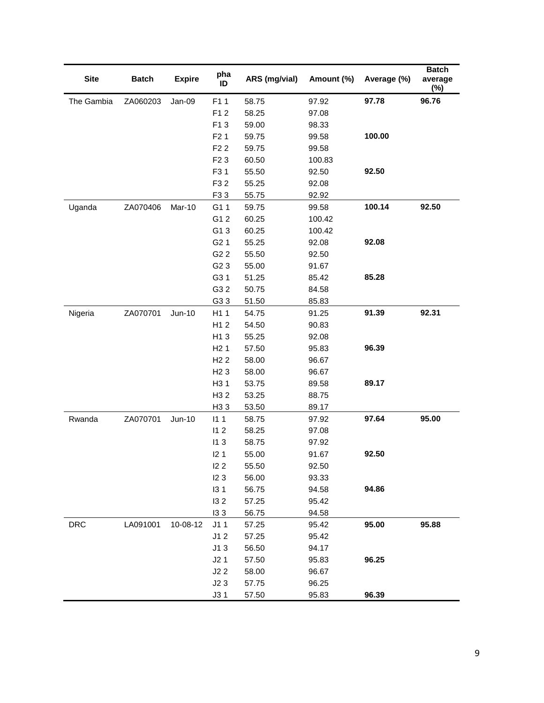| <b>Site</b> | <b>Batch</b> | <b>Expire</b> | pha<br>ID        | ARS (mg/vial) | Amount (%) | Average (%) | <b>Batch</b><br>average<br>$(\%)$ |
|-------------|--------------|---------------|------------------|---------------|------------|-------------|-----------------------------------|
| The Gambia  | ZA060203     | Jan-09        | F11              | 58.75         | 97.92      | 97.78       | 96.76                             |
|             |              |               | F12              | 58.25         | 97.08      |             |                                   |
|             |              |               | F13              | 59.00         | 98.33      |             |                                   |
|             |              |               | F <sub>2</sub> 1 | 59.75         | 99.58      | 100.00      |                                   |
|             |              |               | F <sub>2</sub> 2 | 59.75         | 99.58      |             |                                   |
|             |              |               | F <sub>2</sub> 3 | 60.50         | 100.83     |             |                                   |
|             |              |               | F31              | 55.50         | 92.50      | 92.50       |                                   |
|             |              |               | F32              | 55.25         | 92.08      |             |                                   |
|             |              |               | F33              | 55.75         | 92.92      |             |                                   |
| Uganda      | ZA070406     | Mar-10        | G11              | 59.75         | 99.58      | 100.14      | 92.50                             |
|             |              |               | G1 2             | 60.25         | 100.42     |             |                                   |
|             |              |               | G13              | 60.25         | 100.42     |             |                                   |
|             |              |               | G <sub>2</sub> 1 | 55.25         | 92.08      | 92.08       |                                   |
|             |              |               | G <sub>2</sub> 2 | 55.50         | 92.50      |             |                                   |
|             |              |               | G <sub>2</sub> 3 | 55.00         | 91.67      |             |                                   |
|             |              |               | G31              | 51.25         | 85.42      | 85.28       |                                   |
|             |              |               | G3 2             | 50.75         | 84.58      |             |                                   |
|             |              |               | G33              | 51.50         | 85.83      |             |                                   |
| Nigeria     | ZA070701     | <b>Jun-10</b> | H11              | 54.75         | 91.25      | 91.39       | 92.31                             |
|             |              |               | H12              | 54.50         | 90.83      |             |                                   |
|             |              |               | H13              | 55.25         | 92.08      |             |                                   |
|             |              |               | H21              | 57.50         | 95.83      | 96.39       |                                   |
|             |              |               | H <sub>2</sub> 2 | 58.00         | 96.67      |             |                                   |
|             |              |               | H <sub>2</sub> 3 | 58.00         | 96.67      |             |                                   |
|             |              |               | H <sub>3</sub> 1 | 53.75         | 89.58      | 89.17       |                                   |
|             |              |               | H <sub>3</sub> 2 | 53.25         | 88.75      |             |                                   |
|             |              |               | H <sub>3</sub> 3 | 53.50         | 89.17      |             |                                   |
| Rwanda      | ZA070701     | <b>Jun-10</b> | 111              | 58.75         | 97.92      | 97.64       | 95.00                             |
|             |              |               | 112              | 58.25         | 97.08      |             |                                   |
|             |              |               | 113              | 58.75         | 97.92      |             |                                   |
|             |              |               | 12 <sub>1</sub>  | 55.00         | 91.67      | 92.50       |                                   |
|             |              |               | 122              | 55.50         | 92.50      |             |                                   |
|             |              |               | 123              | 56.00         | 93.33      |             |                                   |
|             |              |               | 131              | 56.75         | 94.58      | 94.86       |                                   |
|             |              |               | 132              | 57.25         | 95.42      |             |                                   |
|             |              |               | 133              | 56.75         | 94.58      |             |                                   |
| <b>DRC</b>  | LA091001     | 10-08-12      | J11              | 57.25         | 95.42      | 95.00       | 95.88                             |
|             |              |               | J12              | 57.25         | 95.42      |             |                                   |
|             |              |               | J13              | 56.50         | 94.17      |             |                                   |
|             |              |               | J2 <sub>1</sub>  | 57.50         | 95.83      | 96.25       |                                   |
|             |              |               | J22              | 58.00         | 96.67      |             |                                   |
|             |              |               | J23              | 57.75         | 96.25      |             |                                   |
|             |              |               | J31              | 57.50         | 95.83      | 96.39       |                                   |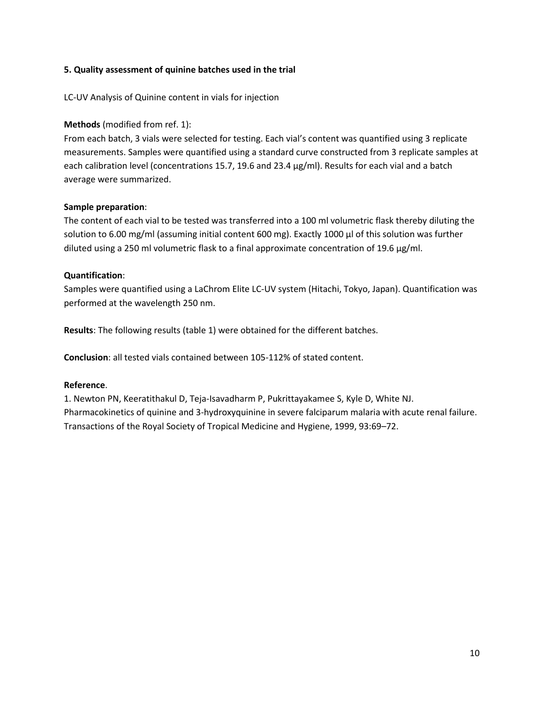### **5. Quality assessment of quinine batches used in the trial**

### LC-UV Analysis of Quinine content in vials for injection

## **Methods** (modified from ref. 1):

From each batch, 3 vials were selected for testing. Each vial's content was quantified using 3 replicate measurements. Samples were quantified using a standard curve constructed from 3 replicate samples at each calibration level (concentrations 15.7, 19.6 and 23.4 µg/ml). Results for each vial and a batch average were summarized.

#### **Sample preparation**:

The content of each vial to be tested was transferred into a 100 ml volumetric flask thereby diluting the solution to 6.00 mg/ml (assuming initial content 600 mg). Exactly 1000 µl of this solution was further diluted using a 250 ml volumetric flask to a final approximate concentration of 19.6  $\mu$ g/ml.

#### **Quantification**:

Samples were quantified using a LaChrom Elite LC-UV system (Hitachi, Tokyo, Japan). Quantification was performed at the wavelength 250 nm.

**Results**: The following results (table 1) were obtained for the different batches.

**Conclusion**: all tested vials contained between 105-112% of stated content.

#### **Reference**.

1. Newton PN, Keeratithakul D, Teja-Isavadharm P, Pukrittayakamee S, Kyle D, White NJ. Pharmacokinetics of quinine and 3-hydroxyquinine in severe falciparum malaria with acute renal failure. Transactions of the Royal Society of Tropical Medicine and Hygiene, 1999, 93:69–72.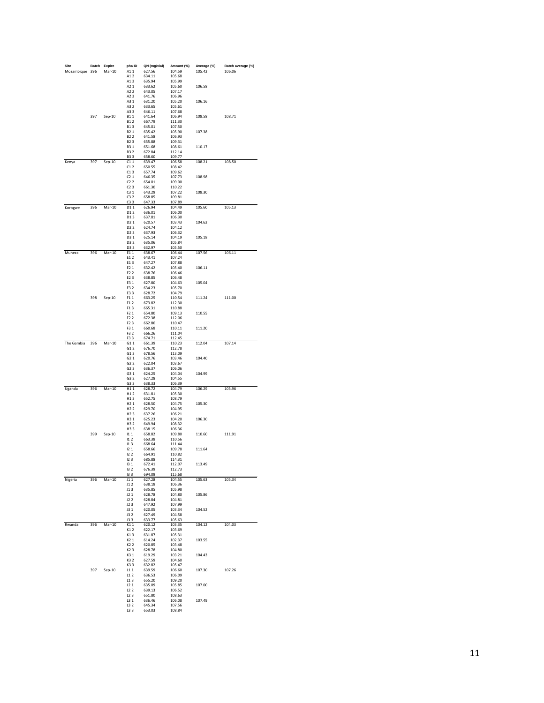| Site           |     | Batch Expire | pha ID                               | QN (mg/vial)     | Amount (%)       | Average (%) | Batch average (%) |
|----------------|-----|--------------|--------------------------------------|------------------|------------------|-------------|-------------------|
| Mozambique 396 |     | Mar-10       | A11                                  | 627.56           | 104.59           | 105.42      | 106.06            |
|                |     |              | A12                                  | 634.11           | 105.68           |             |                   |
|                |     |              | A13                                  | 635.94           | 105.99           |             |                   |
|                |     |              | A2 1<br>A2 2                         | 633.62<br>643.05 | 105.60<br>107.17 | 106.58      |                   |
|                |     |              | A23                                  | 641.76           | 106.96           |             |                   |
|                |     |              | A31                                  | 631.20           | 105.20           | 106.16      |                   |
|                |     |              | A32                                  | 633.65           | 105.61           |             |                   |
|                |     |              | A33                                  | 646.11           | 107.68           |             |                   |
|                | 397 | $Sep-10$     | B11                                  | 641.64           | 106.94           | 108.58      | 108.71            |
|                |     |              | <b>B12</b>                           | 667.79           | 111.30           |             |                   |
|                |     |              | <b>B13</b>                           | 645.01           | 107.50           |             |                   |
|                |     |              | B2 1                                 | 635.42           | 105.90           | 107.38      |                   |
|                |     |              | B <sub>2</sub> 2                     | 641.58           | 106.93           |             |                   |
|                |     |              | B <sub>2</sub> 3<br><b>B31</b>       | 655.88<br>651.68 | 109.31<br>108.61 | 110.17      |                   |
|                |     |              | <b>B32</b>                           | 672.84           | 112.14           |             |                   |
|                |     |              | <b>B33</b>                           | 658.60           | 109.77           |             |                   |
| Kenya          | 397 | $Sep-10$     | C11                                  | 639.47           | 106.58           | 108.21      | 108.50            |
|                |     |              | C12                                  | 650.55           | 108.42           |             |                   |
|                |     |              | C13                                  | 657.74           | 109.62           |             |                   |
|                |     |              | C21                                  | 646.35           | 107.73           | 108.98      |                   |
|                |     |              | C22                                  | 654.01<br>661.30 | 109.00           |             |                   |
|                |     |              | C23<br>C31                           |                  | 110.22<br>107.22 | 108.30      |                   |
|                |     |              | C32                                  | 643.29<br>658.85 | 109.81           |             |                   |
|                |     |              | C33                                  | 647.33           | 107.89           |             |                   |
| Korogwe        | 396 | $Mar-10$     | D11                                  | 626.94           | 104.49           | 105.60      | 105.13            |
|                |     |              | D12                                  | 636.01           | 106.00           |             |                   |
|                |     |              | D13                                  | 637.81           | 106.30           |             |                   |
|                |     |              | D <sub>2</sub> 1                     | 620.57           | 103.43           | 104.62      |                   |
|                |     |              | D <sub>2</sub> 2                     | 624.74           | 104.12           |             |                   |
|                |     |              | D <sub>2</sub> 3                     | 637.93           | 106.32           |             |                   |
|                |     |              | D3 1                                 | 625.14           | 104.19           | 105.18      |                   |
|                |     |              | D3 2<br>D3 3                         | 635.06<br>632.97 | 105.84<br>105.50 |             |                   |
| Muheza         | 396 | $Mar-10$     | E11                                  | 638.67           | 106.44           | 107.56      | 106.11            |
|                |     |              | E1 2                                 | 643.41           | 107.24           |             |                   |
|                |     |              | E13                                  | 647.27           | 107.88           |             |                   |
|                |     |              | E2 1                                 | 632.42           | 105.40           | 106.11      |                   |
|                |     |              | E2 2                                 | 638.76           | 106.46           |             |                   |
|                |     |              | E2 3                                 | 638.85           | 106.48           |             |                   |
|                |     |              | E3 1                                 | 627.80           | 104.63           | 105.04      |                   |
|                |     |              | E3 2                                 | 634.23           | 105.70           |             |                   |
|                |     |              | E3 3                                 | 628.72           | 104.79           |             |                   |
|                | 398 | $Sep-10$     | F11<br>F12                           | 663.25<br>673.82 | 110.54           | 111.24      | 111.00            |
|                |     |              | F13                                  | 665.31           | 112.30<br>110.88 |             |                   |
|                |     |              | F2 1                                 | 654.80           | 109.13           | 110.55      |                   |
|                |     |              | F <sub>2</sub> 2                     | 672.38           | 112.06           |             |                   |
|                |     |              | F2 3                                 | 662.80           | 110.47           |             |                   |
|                |     |              | F3 1                                 | 660.68           | 110.11           | 111.20      |                   |
|                |     |              | F3 2                                 | 666.26           | 111.04           |             |                   |
|                |     |              | F3 3                                 | 674.71           | 112.45           |             |                   |
| The Gambia     | 396 | Mar-10       | G11                                  | 661.39           | 110.23           | 112.04      | 107.14            |
|                |     |              | G12                                  | 676.70           | 112.78           |             |                   |
|                |     |              | G13<br>G2 1                          | 678.56<br>620.76 | 113.09<br>103.46 | 104.40      |                   |
|                |     |              | G2 2                                 | 622.04           | 103.67           |             |                   |
|                |     |              | G23                                  | 636.37           | 106.06           |             |                   |
|                |     |              | G31                                  | 624.25           | 104.04           | 104.99      |                   |
|                |     |              | G3 2                                 | 627.28           | 104.55           |             |                   |
|                |     |              | G33                                  | 638.33           | 106.39           |             |                   |
| Uganda         | 396 | Mar-10       | H11                                  | 628.72           | 104.79           | 106.29      | 105.96            |
|                |     |              | H <sub>1</sub> 2                     | 631.81           | 105.30           |             |                   |
|                |     |              | H13                                  | 652.75           | 108.79           |             |                   |
|                |     |              | H <sub>2</sub> 1                     | 628.50<br>629.70 | 104.75           | 105.30      |                   |
|                |     |              | H <sub>2</sub> 2<br>H <sub>2</sub> 3 | 637.26           | 104.95<br>106.21 |             |                   |
|                |     |              | H3 1                                 | 625.23           | 104.20           | 106.30      |                   |
|                |     |              | H3 2                                 | 649.94           | 108.32           |             |                   |
|                |     |              | H3 3                                 | 638.15           | 106.36           |             |                   |
|                | 399 | $Sep-10$     | 111                                  | 658.82           | 109.80           | 110.60      | 111.91            |
|                |     |              | 112                                  | 663.38           | 110.56           |             |                   |
|                |     |              | 113                                  | 668.64           | 111.44           |             |                   |
|                |     |              | 121                                  | 658.66           | 109.78           | 111.64      |                   |
|                |     |              | 122                                  | 664.91<br>685.88 | 110.82           |             |                   |
|                |     |              | 123<br>131                           | 672.41           | 114.31<br>112.07 | 113.49      |                   |
|                |     |              | 132                                  | 676.39           | 112.73           |             |                   |
|                |     |              | 133                                  | 694.09           | 115.68           |             |                   |
| Nigeria        | 396 | Mar-10       | J11                                  | 627.28           | 104.55           | 105.63      | 105.34            |
|                |     |              | J12                                  | 638.18           | 106.36           |             |                   |
|                |     |              | J13                                  | 635.85           | 105.98           |             |                   |
|                |     |              | J21                                  | 628.78           | 104.80           | 105.86      |                   |
|                |     |              | J22<br>J23                           | 628.84<br>647.92 | 104.81           |             |                   |
|                |     |              | J31                                  | 620.05           | 107.99<br>103.34 | 104.52      |                   |
|                |     |              | J32                                  | 627.49           | 104.58           |             |                   |
|                |     |              | J3 3                                 | 633.77           | 105.63           |             |                   |
| Rwanda         | 396 | Mar-10       | K11                                  | 620.12           | 103.35           | 104.12      | 104.03            |
|                |     |              | K12                                  | 622.17           | 103.69           |             |                   |
|                |     |              | K13                                  | 631.87           | 105.31           |             |                   |
|                |     |              | K21                                  | 614.24           | 102.37           | 103.55      |                   |
|                |     |              | K <sub>2</sub> 2                     | 620.85           | 103.48           |             |                   |
|                |     |              | K23                                  | 628.78           | 104.80           |             |                   |
|                |     |              | K31                                  | 619.29           | 103.21           | 104.43      |                   |
|                |     |              | K32                                  | 627.59           | 104.60           |             |                   |
|                | 397 | Sep-10       | K33<br>L11                           | 632.82<br>639.59 | 105.47           | 107.30      | 107.26            |
|                |     |              | L12                                  | 636.53           | 106.60<br>106.09 |             |                   |
|                |     |              | L13                                  | 655.20           | 109.20           |             |                   |
|                |     |              | L21                                  | 635.09           | 105.85           | 107.00      |                   |
|                |     |              | L22                                  | 639.13           | 106.52           |             |                   |
|                |     |              |                                      |                  |                  |             |                   |
|                |     |              | L23                                  | 651.80           | 108.63           |             |                   |
|                |     |              | L31                                  | 636.46           | 106.08           | 107.49      |                   |
|                |     |              | L3 2<br>L3 3                         | 645.34<br>653.03 | 107.56<br>108.84 |             |                   |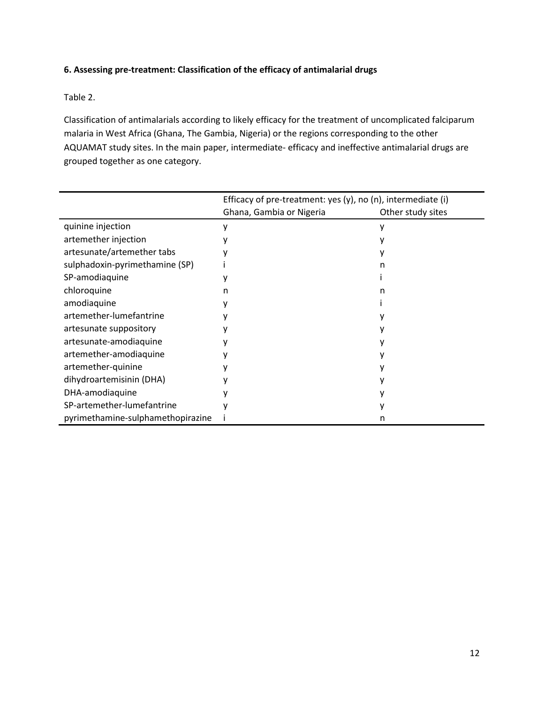# **6. Assessing pre-treatment: Classification of the efficacy of antimalarial drugs**

Table 2.

Classification of antimalarials according to likely efficacy for the treatment of uncomplicated falciparum malaria in West Africa (Ghana, The Gambia, Nigeria) or the regions corresponding to the other AQUAMAT study sites. In the main paper, intermediate- efficacy and ineffective antimalarial drugs are grouped together as one category.

|                                   | Efficacy of pre-treatment: yes $(y)$ , no $(n)$ , intermediate $(i)$ |                   |
|-----------------------------------|----------------------------------------------------------------------|-------------------|
|                                   | Ghana, Gambia or Nigeria                                             | Other study sites |
| quinine injection                 |                                                                      |                   |
| artemether injection              |                                                                      |                   |
| artesunate/artemether tabs        |                                                                      |                   |
| sulphadoxin-pyrimethamine (SP)    |                                                                      |                   |
| SP-amodiaquine                    |                                                                      |                   |
| chloroquine                       | n                                                                    |                   |
| amodiaquine                       |                                                                      |                   |
| artemether-lumefantrine           |                                                                      |                   |
| artesunate suppository            |                                                                      |                   |
| artesunate-amodiaquine            |                                                                      |                   |
| artemether-amodiaquine            |                                                                      |                   |
| artemether-quinine                |                                                                      |                   |
| dihydroartemisinin (DHA)          |                                                                      |                   |
| DHA-amodiaquine                   |                                                                      |                   |
| SP-artemether-lumefantrine        |                                                                      |                   |
| pyrimethamine-sulphamethopirazine |                                                                      | n                 |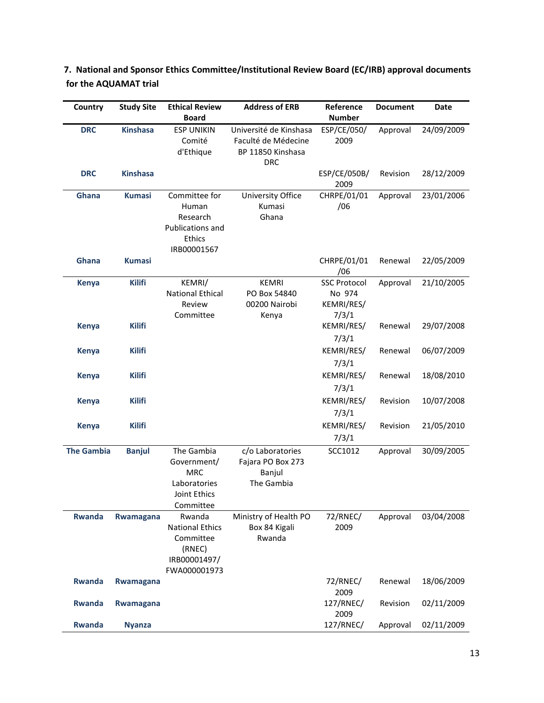| Country           | <b>Study Site</b> | <b>Ethical Review</b><br><b>Board</b>                                                   | <b>Address of ERB</b>                                                            | Reference<br><b>Number</b>                           | <b>Document</b> | <b>Date</b> |
|-------------------|-------------------|-----------------------------------------------------------------------------------------|----------------------------------------------------------------------------------|------------------------------------------------------|-----------------|-------------|
| <b>DRC</b>        | <b>Kinshasa</b>   | <b>ESP UNIKIN</b><br>Comité<br>d'Ethique                                                | Université de Kinshasa<br>Faculté de Médecine<br>BP 11850 Kinshasa<br><b>DRC</b> | ESP/CE/050/<br>2009                                  | Approval        | 24/09/2009  |
| <b>DRC</b>        | <b>Kinshasa</b>   |                                                                                         |                                                                                  | ESP/CE/050B/<br>2009                                 | Revision        | 28/12/2009  |
| Ghana             | <b>Kumasi</b>     | Committee for<br>Human<br>Research<br>Publications and<br>Ethics<br>IRB00001567         | University Office<br>Kumasi<br>Ghana                                             | CHRPE/01/01<br>/06                                   | Approval        | 23/01/2006  |
| Ghana             | <b>Kumasi</b>     |                                                                                         |                                                                                  | CHRPE/01/01<br>/06                                   | Renewal         | 22/05/2009  |
| <b>Kenya</b>      | <b>Kilifi</b>     | KEMRI/<br><b>National Ethical</b><br>Review<br>Committee                                | <b>KEMRI</b><br>PO Box 54840<br>00200 Nairobi<br>Kenya                           | <b>SSC Protocol</b><br>No 974<br>KEMRI/RES/<br>7/3/1 | Approval        | 21/10/2005  |
| <b>Kenya</b>      | <b>Kilifi</b>     |                                                                                         |                                                                                  | KEMRI/RES/<br>7/3/1                                  | Renewal         | 29/07/2008  |
| <b>Kenya</b>      | <b>Kilifi</b>     |                                                                                         |                                                                                  | KEMRI/RES/<br>7/3/1                                  | Renewal         | 06/07/2009  |
| <b>Kenya</b>      | <b>Kilifi</b>     |                                                                                         |                                                                                  | KEMRI/RES/<br>7/3/1                                  | Renewal         | 18/08/2010  |
| <b>Kenya</b>      | <b>Kilifi</b>     |                                                                                         |                                                                                  | KEMRI/RES/<br>7/3/1                                  | Revision        | 10/07/2008  |
| <b>Kenya</b>      | <b>Kilifi</b>     |                                                                                         |                                                                                  | KEMRI/RES/<br>7/3/1                                  | Revision        | 21/05/2010  |
| <b>The Gambia</b> | <b>Banjul</b>     | The Gambia<br>Government/<br><b>MRC</b><br>Laboratories<br>Joint Ethics<br>Committee    | c/o Laboratories<br>Fajara PO Box 273<br>Banjul<br>The Gambia                    | SCC1012                                              | Approval        | 30/09/2005  |
| <b>Rwanda</b>     | Rwamagana         | Rwanda<br><b>National Ethics</b><br>Committee<br>(RNEC)<br>IRB00001497/<br>FWA000001973 | Ministry of Health PO<br>Box 84 Kigali<br>Rwanda                                 | 72/RNEC/<br>2009                                     | Approval        | 03/04/2008  |
| <b>Rwanda</b>     | Rwamagana         |                                                                                         |                                                                                  | 72/RNEC/<br>2009                                     | Renewal         | 18/06/2009  |
| <b>Rwanda</b>     | Rwamagana         |                                                                                         |                                                                                  | 127/RNEC/<br>2009                                    | Revision        | 02/11/2009  |
| <b>Rwanda</b>     | <b>Nyanza</b>     |                                                                                         |                                                                                  | 127/RNEC/                                            | Approval        | 02/11/2009  |

**7. National and Sponsor Ethics Committee/Institutional Review Board (EC/IRB) approval documents for the AQUAMAT trial**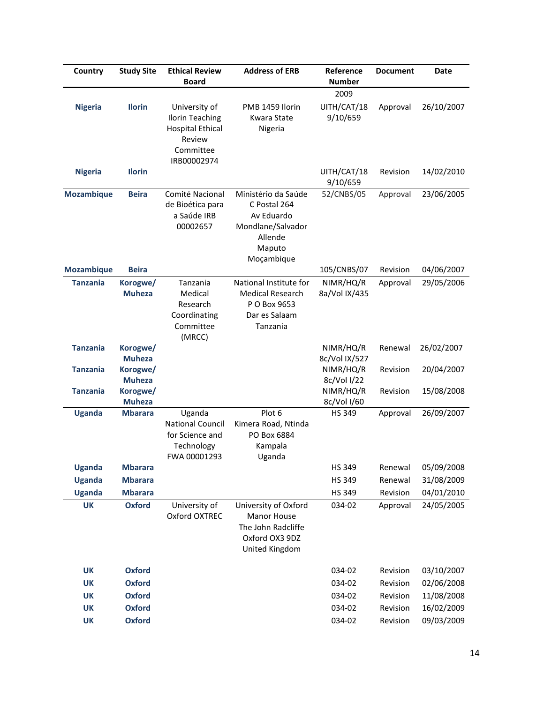| Country           | <b>Study Site</b>                          | <b>Ethical Review</b><br><b>Board</b>                                                                    | <b>Address of ERB</b>                                                                                     | Reference<br><b>Number</b>              | <b>Document</b> | <b>Date</b> |
|-------------------|--------------------------------------------|----------------------------------------------------------------------------------------------------------|-----------------------------------------------------------------------------------------------------------|-----------------------------------------|-----------------|-------------|
|                   |                                            |                                                                                                          |                                                                                                           | 2009                                    |                 |             |
| <b>Nigeria</b>    | <b>Ilorin</b>                              | University of<br><b>Ilorin Teaching</b><br><b>Hospital Ethical</b><br>Review<br>Committee<br>IRB00002974 | PMB 1459 Ilorin<br><b>Kwara State</b><br>Nigeria                                                          | UITH/CAT/18<br>9/10/659                 | Approval        | 26/10/2007  |
| <b>Nigeria</b>    | <b>Ilorin</b>                              |                                                                                                          |                                                                                                           | UITH/CAT/18<br>9/10/659                 | Revision        | 14/02/2010  |
| <b>Mozambique</b> | <b>Beira</b>                               | Comité Nacional<br>de Bioética para<br>a Saúde IRB<br>00002657                                           | Ministério da Saúde<br>C Postal 264<br>Av Eduardo<br>Mondlane/Salvador<br>Allende<br>Maputo<br>Moçambique | 52/CNBS/05                              | Approval        | 23/06/2005  |
| <b>Mozambique</b> | <b>Beira</b>                               |                                                                                                          |                                                                                                           | 105/CNBS/07                             | Revision        | 04/06/2007  |
| <b>Tanzania</b>   | Korogwe/<br><b>Muheza</b>                  | Tanzania<br>Medical<br>Research<br>Coordinating<br>Committee<br>(MRCC)                                   | National Institute for<br><b>Medical Research</b><br>P O Box 9653<br>Dar es Salaam<br>Tanzania            | NIMR/HQ/R<br>8a/Vol IX/435              | Approval        | 29/05/2006  |
| <b>Tanzania</b>   | Korogwe/                                   |                                                                                                          |                                                                                                           | NIMR/HQ/R                               | Renewal         | 26/02/2007  |
|                   | <b>Muheza</b>                              |                                                                                                          |                                                                                                           | 8c/Vol IX/527                           |                 |             |
| <b>Tanzania</b>   | Korogwe/                                   |                                                                                                          |                                                                                                           | NIMR/HQ/R                               | Revision        | 20/04/2007  |
| <b>Tanzania</b>   | <b>Muheza</b><br>Korogwe/<br><b>Muheza</b> |                                                                                                          |                                                                                                           | 8c/Vol I/22<br>NIMR/HQ/R<br>8c/Vol I/60 | Revision        | 15/08/2008  |
| <b>Uganda</b>     | <b>Mbarara</b>                             | Uganda                                                                                                   | Plot 6                                                                                                    | <b>HS 349</b>                           | Approval        | 26/09/2007  |
|                   |                                            | <b>National Council</b><br>for Science and<br>Technology<br>FWA 00001293                                 | Kimera Road, Ntinda<br>PO Box 6884<br>Kampala<br>Uganda                                                   |                                         |                 |             |
| <b>Uganda</b>     | <b>Mbarara</b>                             |                                                                                                          |                                                                                                           | <b>HS 349</b>                           | Renewal         | 05/09/2008  |
| <b>Uganda</b>     | <b>Mbarara</b>                             |                                                                                                          |                                                                                                           | <b>HS 349</b>                           | Renewal         | 31/08/2009  |
| <b>Uganda</b>     | <b>Mbarara</b>                             |                                                                                                          |                                                                                                           | HS 349                                  | Revision        | 04/01/2010  |
| <b>UK</b>         | <b>Oxford</b>                              | University of<br>Oxford OXTREC                                                                           | University of Oxford<br><b>Manor House</b><br>The John Radcliffe<br>Oxford OX3 9DZ<br>United Kingdom      | 034-02                                  | Approval        | 24/05/2005  |
| <b>UK</b>         | <b>Oxford</b>                              |                                                                                                          |                                                                                                           | 034-02                                  | Revision        | 03/10/2007  |
| <b>UK</b>         | <b>Oxford</b>                              |                                                                                                          |                                                                                                           | 034-02                                  | Revision        | 02/06/2008  |
| <b>UK</b>         | <b>Oxford</b>                              |                                                                                                          |                                                                                                           | 034-02                                  | Revision        | 11/08/2008  |
| <b>UK</b>         | <b>Oxford</b>                              |                                                                                                          |                                                                                                           | 034-02                                  | Revision        | 16/02/2009  |
| <b>UK</b>         | <b>Oxford</b>                              |                                                                                                          |                                                                                                           | 034-02                                  | Revision        | 09/03/2009  |